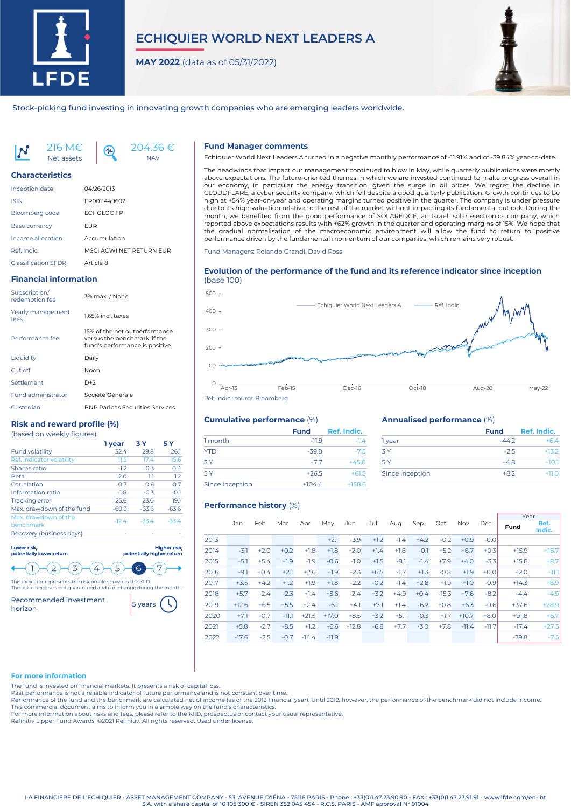

# **ECHIQUIER WORLD NEXT LEADERS A**

**MAY 2022** (data as of 05/31/2022)



Stock-picking fund investing in innovating growth companies who are emerging leaders worldwide.

216 M€ Net assets



## **Characteristics**

| <b>Inception date</b>      | 04/26/2013               |
|----------------------------|--------------------------|
| <b>ISIN</b>                | FR0011449602             |
| <b>Bloomberg code</b>      | <b>ECHGLOC FP</b>        |
| <b>Base currency</b>       | FUR                      |
| Income allocation          | Accumulation             |
| Ref. Indic.                | MSCI ACWI NFT RFTURN FUR |
| <b>Classification SFDR</b> | Article 8                |

 $4<sub>h</sub>$ 

# **Financial information**

| Subscription/<br>redemption fee | 3% max. / None                                                                                  |
|---------------------------------|-------------------------------------------------------------------------------------------------|
| Yearly management<br>fees       | 1.65% incl. taxes                                                                               |
| Performance fee                 | 15% of the net outperformance<br>versus the benchmark, if the<br>fund's performance is positive |
| Liquidity                       | Daily                                                                                           |
| Cut off                         | Noon                                                                                            |
| Settlement                      | $D+2$                                                                                           |
| <b>Fund administrator</b>       | Société Générale                                                                                |
| Custodian                       | <b>BNP Paribas Securities Services</b>                                                          |

# **Risk and reward profile (%)**

| (based on weekly figures) |  |
|---------------------------|--|
|---------------------------|--|

|                                   | 1 vear  | 3 Y     | 5 Y     |
|-----------------------------------|---------|---------|---------|
| <b>Fund volatility</b>            | 32.4    | 29.8    | 26.1    |
| Ref. indicator volatility         | 11.5    | 17.4    | 15.6    |
| Sharpe ratio                      | $-1.2$  | 0.3     | 0.4     |
| <b>Beta</b>                       | 2.0     | 1.1     | 1.2     |
| Correlation                       | 0.7     | 06      | 0.7     |
| Information ratio                 | $-1.8$  | $-0.3$  | $-0.1$  |
| <b>Tracking error</b>             | 25.6    | 23.0    | 19.1    |
| Max, drawdown of the fund         | $-60.3$ | $-63.6$ | $-63.6$ |
| Max. drawdown of the<br>benchmark | $-12.4$ | $-33.4$ | $-334$  |
| Recovery (business days)          |         |         |         |
|                                   |         |         |         |

Lower risk, potentially lower return Higher risk, potentially higher return 

This indicator represents the risk profile shown in the KIID. The risk category is not guaranteed and can change during the month.

Recommended investment <mark>5 years</mark>



# **Fund Manager comments**

Echiquier World Next Leaders A turned in a negative monthly performance of -11.91% and of -39.84% year-to-date.

The headwinds that impact our management continued to blow in May, while quarterly publications were mostly above expectations. The future-oriented themes in which we are invested continued to make progress overall in our economy, in particular the energy transition, given the surge in oil prices. We regret the decline in CLOUDFLARE, a cyber security company, which fell despite a good quarterly publication. Growth continues to be high at +54% year-on-year and operating margins turned positive in the quarter. The company is under pressure due to its high valuation relative to the rest of the market without impacting its fundamental outlook. During the month, we benefited from the good performance of SOLAREDGE, an Israeli solar electronics company, which reported above expectations results with +62% growth in the quarter and operating margins of 15%. We hope that the gradual normalisation of the macroeconomic environment will allow the fund to return to positive performance driven by the fundamental momentum of our companies, which remains very robust.

Fund Managers: Rolando Grandi, David Ross

# **Evolution of the performance of the fund and its reference indicator since inception** (base 100)



# **Cumulative performance** (%)

|                 | <b>Fund</b> | Ref. Indic. |
|-----------------|-------------|-------------|
| 1 month         | $-11.9$     | $-1.4$      |
| <b>YTD</b>      | $-39.8$     | $-7.5$      |
| 3 Y             | $+7.7$      | $+45.0$     |
| 5 Y             | $+26.5$     | $+61.5$     |
| Since inception | $+104.4$    | $+158.6$    |

### **Annualised performance** (%)

| <b>Fund</b> | Ref. Indic. |
|-------------|-------------|
| $-442$      | $+64$       |
| $+25$       | $+132$      |
| $+48$       | $+101$      |
| $+82$       | $+110$      |
|             |             |

# **Performance history** (%)

|      |         |        |         |         |         |         |        |        |        |         |         |         | Year    |                |
|------|---------|--------|---------|---------|---------|---------|--------|--------|--------|---------|---------|---------|---------|----------------|
|      | Jan     | Feb    | Mar     | Apr     | May     | Jun     | Jul    | Aug    | Sep    | Oct     | Nov     | Dec     | Fund    | Ref.<br>Indic. |
| 2013 |         |        |         |         | $+2.1$  | $-3.9$  | $+1.2$ | $-1.4$ | $+4.2$ | $-0.2$  | $+0.9$  | $-0.0$  |         |                |
| 2014 | $-3.1$  | $+2.0$ | $+0.2$  | $+1.8$  | $+1.8$  | $+2.0$  | $+1.4$ | $+1.8$ | $-0.1$ | $+5.2$  | $+6.7$  | $+0.3$  | $+15.9$ | $+18.7$        |
| 2015 | $+5.1$  | $+5.4$ | $+1.9$  | $-1.9$  | $-0.6$  | $-1.0$  | $+1.5$ | $-8.1$ | $-1.4$ | $+7.9$  | $+4.0$  | $-3.3$  | $+15.8$ | $+8.7$         |
| 2016 | $-9.1$  | $+0.4$ | $+2.1$  | $+2.6$  | $+1.9$  | $-2.3$  | $+6.5$ | $-1.7$ | $+1.3$ | $-0.8$  | $+1.9$  | $+0.0$  | $+2.0$  | $+11.1$        |
| 2017 | $+3.5$  | $+4.2$ | $+1.2$  | $+1.9$  | $+1.8$  | $-2.2$  | $-0.2$ | $-1.4$ | $+2.8$ | $+1.9$  | $+1.0$  | $-0.9$  | $+14.3$ | $+8.9$         |
| 2018 | $+5.7$  | $-2.4$ | $-2.3$  | $+1.4$  | $+5.6$  | $-2.4$  | $+3.2$ | $+4.9$ | $+0.4$ | $-15.3$ | $+7.6$  | $-8.2$  | $-4.4$  | $-4.9$         |
| 2019 | $+12.6$ | $+6.5$ | $+5.5$  | $+2.4$  | $-6.1$  | $+4.1$  | $+7.1$ | $+1.4$ | $-6.2$ | $+0.8$  | $+6.3$  | $-0.6$  | $+37.6$ | $+28.9$        |
| 2020 | $+7.1$  | $-0.7$ | $-11.1$ | $+21.5$ | $+17.0$ | $+8.5$  | $+3.2$ | $+5.1$ | $-0.3$ | $+1.7$  | $+10.7$ | $+8.0$  | $+91.8$ | $+6.7$         |
| 2021 | $+5.8$  | $-2.7$ | $-8.5$  | $+1.2$  | $-6.6$  | $+12.8$ | $-6.6$ | $+7.7$ | $-3.0$ | $+7.8$  | $-11.4$ | $-11.7$ | $-17.4$ | $+27.5$        |
| 2022 | $-17.6$ | $-2.5$ | $-0.7$  | $-14.4$ | $-11.9$ |         |        |        |        |         |         |         | $-39.8$ | $-7.5$         |

### **For more information**

The fund is invested on financial markets. It presents a risk of capital loss.

Past performance is not a reliable indicator of future performance and is not constant over time.

Performance of the fund and the benchmark are calculated net of income (as of the 2013 financial year). Until 2012, however, the performance of the benchmark did not include income.

This commercial document aims to inform you in a simple way on the fund's characteristics. For more information about risks and fees, please refer to the KIID, prospectus or contact your usual representative.

Refinitiv Lipper Fund Awards, ©2021 Refinitiv. All rights reserved. Used under license.